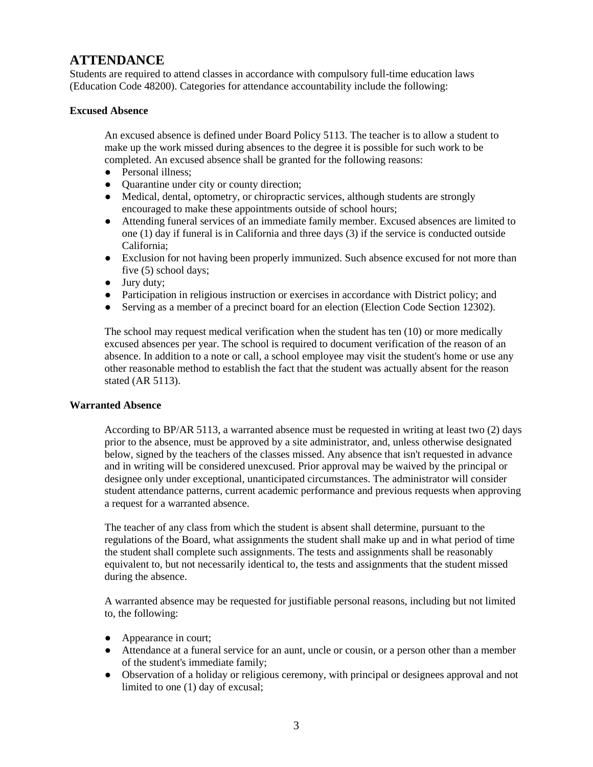# **ATTENDANCE**

Students are required to attend classes in accordance with compulsory full-time education laws (Education Code 48200). Categories for attendance accountability include the following:

# **Excused Absence**

An excused absence is defined under Board Policy 5113. The teacher is to allow a student to make up the work missed during absences to the degree it is possible for such work to be completed. An excused absence shall be granted for the following reasons:

- Personal illness:
- Quarantine under city or county direction;
- Medical, dental, optometry, or chiropractic services, although students are strongly encouraged to make these appointments outside of school hours;
- Attending funeral services of an immediate family member. Excused absences are limited to one (1) day if funeral is in California and three days (3) if the service is conducted outside California;
- Exclusion for not having been properly immunized. Such absence excused for not more than five (5) school days;
- Jury duty;
- Participation in religious instruction or exercises in accordance with District policy; and
- Serving as a member of a precinct board for an election (Election Code Section 12302).

The school may request medical verification when the student has ten (10) or more medically excused absences per year. The school is required to document verification of the reason of an absence. In addition to a note or call, a school employee may visit the student's home or use any other reasonable method to establish the fact that the student was actually absent for the reason stated (AR 5113).

## **Warranted Absence**

According to BP/AR 5113, a warranted absence must be requested in writing at least two (2) days prior to the absence, must be approved by a site administrator, and, unless otherwise designated below, signed by the teachers of the classes missed. Any absence that isn't requested in advance and in writing will be considered unexcused. Prior approval may be waived by the principal or designee only under exceptional, unanticipated circumstances. The administrator will consider student attendance patterns, current academic performance and previous requests when approving a request for a warranted absence.

The teacher of any class from which the student is absent shall determine, pursuant to the regulations of the Board, what assignments the student shall make up and in what period of time the student shall complete such assignments. The tests and assignments shall be reasonably equivalent to, but not necessarily identical to, the tests and assignments that the student missed during the absence.

A warranted absence may be requested for justifiable personal reasons, including but not limited to, the following:

- Appearance in court;
- Attendance at a funeral service for an aunt, uncle or cousin, or a person other than a member of the student's immediate family;
- Observation of a holiday or religious ceremony, with principal or designees approval and not limited to one (1) day of excusal;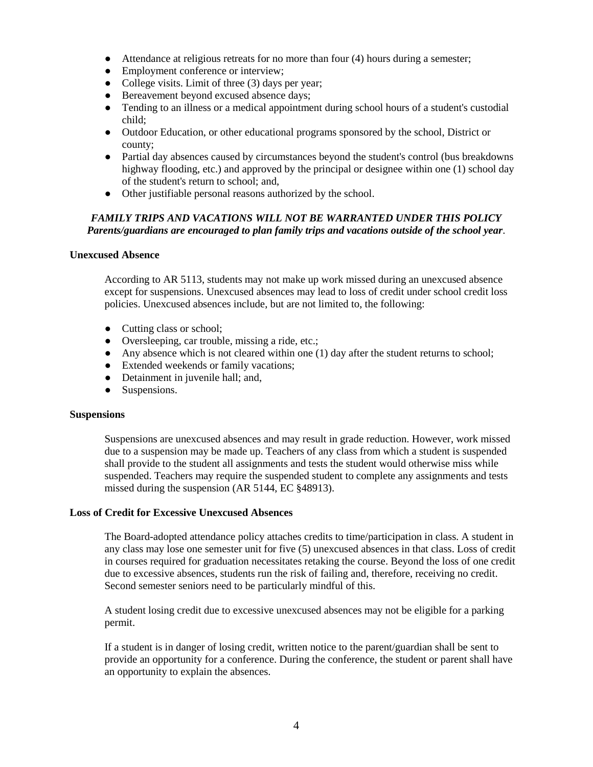- Attendance at religious retreats for no more than four (4) hours during a semester;
- Employment conference or interview;
- College visits. Limit of three (3) days per year;
- Bereavement beyond excused absence days;
- Tending to an illness or a medical appointment during school hours of a student's custodial child;
- Outdoor Education, or other educational programs sponsored by the school, District or county;
- Partial day absences caused by circumstances beyond the student's control (bus breakdowns highway flooding, etc.) and approved by the principal or designee within one (1) school day of the student's return to school; and,
- Other justifiable personal reasons authorized by the school.

# *FAMILY TRIPS AND VACATIONS WILL NOT BE WARRANTED UNDER THIS POLICY Parents/guardians are encouraged to plan family trips and vacations outside of the school year.*

#### **Unexcused Absence**

According to AR 5113, students may not make up work missed during an unexcused absence except for suspensions. Unexcused absences may lead to loss of credit under school credit loss policies. Unexcused absences include, but are not limited to, the following:

- Cutting class or school;
- Oversleeping, car trouble, missing a ride, etc.;
- Any absence which is not cleared within one (1) day after the student returns to school;
- Extended weekends or family vacations;
- Detainment in juvenile hall; and,
- Suspensions.

#### **Suspensions**

Suspensions are unexcused absences and may result in grade reduction. However, work missed due to a suspension may be made up. Teachers of any class from which a student is suspended shall provide to the student all assignments and tests the student would otherwise miss while suspended. Teachers may require the suspended student to complete any assignments and tests missed during the suspension (AR 5144, EC §48913).

#### **Loss of Credit for Excessive Unexcused Absences**

The Board-adopted attendance policy attaches credits to time/participation in class. A student in any class may lose one semester unit for five (5) unexcused absences in that class. Loss of credit in courses required for graduation necessitates retaking the course. Beyond the loss of one credit due to excessive absences, students run the risk of failing and, therefore, receiving no credit. Second semester seniors need to be particularly mindful of this.

A student losing credit due to excessive unexcused absences may not be eligible for a parking permit.

If a student is in danger of losing credit, written notice to the parent/guardian shall be sent to provide an opportunity for a conference. During the conference, the student or parent shall have an opportunity to explain the absences.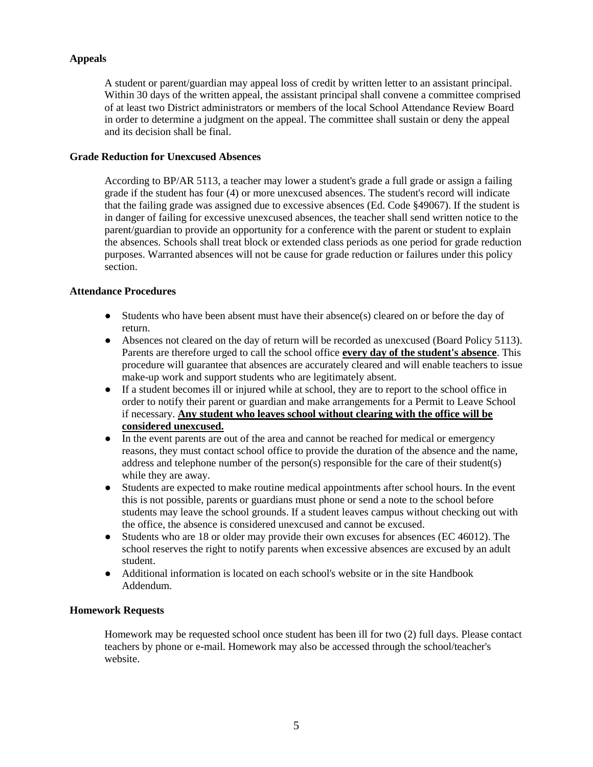# **Appeals**

A student or parent/guardian may appeal loss of credit by written letter to an assistant principal. Within 30 days of the written appeal, the assistant principal shall convene a committee comprised of at least two District administrators or members of the local School Attendance Review Board in order to determine a judgment on the appeal. The committee shall sustain or deny the appeal and its decision shall be final.

# **Grade Reduction for Unexcused Absences**

According to BP/AR 5113, a teacher may lower a student's grade a full grade or assign a failing grade if the student has four (4) or more unexcused absences. The student's record will indicate that the failing grade was assigned due to excessive absences (Ed. Code §49067). If the student is in danger of failing for excessive unexcused absences, the teacher shall send written notice to the parent/guardian to provide an opportunity for a conference with the parent or student to explain the absences. Schools shall treat block or extended class periods as one period for grade reduction purposes. Warranted absences will not be cause for grade reduction or failures under this policy section.

## **Attendance Procedures**

- $\bullet$  Students who have been absent must have their absence(s) cleared on or before the day of return.
- Absences not cleared on the day of return will be recorded as unexcused (Board Policy 5113). Parents are therefore urged to call the school office **every day of the student's absence**. This procedure will guarantee that absences are accurately cleared and will enable teachers to issue make-up work and support students who are legitimately absent.
- If a student becomes ill or injured while at school, they are to report to the school office in order to notify their parent or guardian and make arrangements for a Permit to Leave School if necessary. **Any student who leaves school without clearing with the office will be considered unexcused.**
- In the event parents are out of the area and cannot be reached for medical or emergency reasons, they must contact school office to provide the duration of the absence and the name, address and telephone number of the person(s) responsible for the care of their student(s) while they are away.
- Students are expected to make routine medical appointments after school hours. In the event this is not possible, parents or guardians must phone or send a note to the school before students may leave the school grounds. If a student leaves campus without checking out with the office, the absence is considered unexcused and cannot be excused.
- Students who are 18 or older may provide their own excuses for absences (EC 46012). The school reserves the right to notify parents when excessive absences are excused by an adult student.
- Additional information is located on each school's website or in the site Handbook Addendum.

## **Homework Requests**

Homework may be requested school once student has been ill for two (2) full days. Please contact teachers by phone or e-mail. Homework may also be accessed through the school/teacher's website.